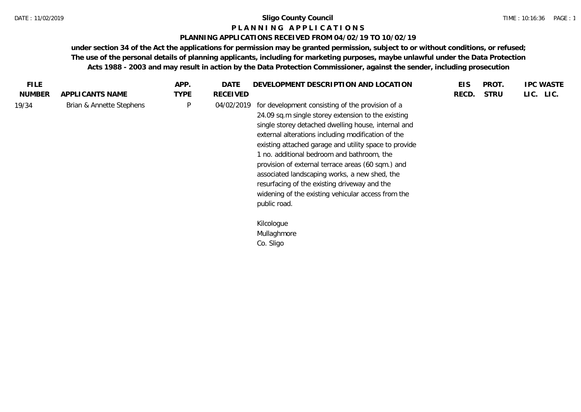## **P L A N N I N G A P P L I C A T I O N S**

## **PLANNING APPLICATIONS RECEIVED FROM 04/02/19 TO 10/02/19**

**under section 34 of the Act the applications for permission may be granted permission, subject to or without conditions, or refused; The use of the personal details of planning applicants, including for marketing purposes, maybe unlawful under the Data Protection Acts 1988 - 2003 and may result in action by the Data Protection Commissioner, against the sender, including prosecution**

| FILE.         |                          | APP.         | DATE       | DEVELOPMENT DESCRIPTION AND LOCATION                                                                                                                                                                                                                                                                                                                                                                                                                                                                                                                   | <b>EIS</b> | PROT.       | <b>IPC WASTE</b> |
|---------------|--------------------------|--------------|------------|--------------------------------------------------------------------------------------------------------------------------------------------------------------------------------------------------------------------------------------------------------------------------------------------------------------------------------------------------------------------------------------------------------------------------------------------------------------------------------------------------------------------------------------------------------|------------|-------------|------------------|
| <b>NUMBER</b> | APPLICANTS NAME          | <b>TYPE</b>  | RECEIVED   |                                                                                                                                                                                                                                                                                                                                                                                                                                                                                                                                                        | RECD.      | <b>STRU</b> | LIC. LIC.        |
| 19/34         | Brian & Annette Stephens | $\mathsf{P}$ | 04/02/2019 | for development consisting of the provision of a<br>24.09 sq.m single storey extension to the existing<br>single storey detached dwelling house, internal and<br>external alterations including modification of the<br>existing attached garage and utility space to provide<br>1 no. additional bedroom and bathroom, the<br>provision of external terrace areas (60 sqm.) and<br>associated landscaping works, a new shed, the<br>resurfacing of the existing driveway and the<br>widening of the existing vehicular access from the<br>public road. |            |             |                  |
|               |                          |              |            | Kilcologue<br>Mullaghmore<br>Co. Sligo                                                                                                                                                                                                                                                                                                                                                                                                                                                                                                                 |            |             |                  |
|               |                          |              |            |                                                                                                                                                                                                                                                                                                                                                                                                                                                                                                                                                        |            |             |                  |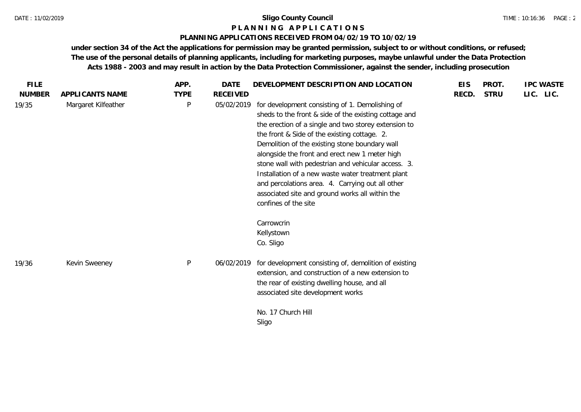## **P L A N N I N G A P P L I C A T I O N S**

## **PLANNING APPLICATIONS RECEIVED FROM 04/02/19 TO 10/02/19**

**under section 34 of the Act the applications for permission may be granted permission, subject to or without conditions, or refused; The use of the personal details of planning applicants, including for marketing purposes, maybe unlawful under the Data Protection Acts 1988 - 2003 and may result in action by the Data Protection Commissioner, against the sender, including prosecution**

| <b>FILE</b>   |                     | APP.         | DATE            | DEVELOPMENT DESCRIPTION AND LOCATION                                                                                                                                                                                                                                                                                                                                                                                                                                                                                                                            | <b>EIS</b> | PROT.       | <b>IPC WASTE</b> |
|---------------|---------------------|--------------|-----------------|-----------------------------------------------------------------------------------------------------------------------------------------------------------------------------------------------------------------------------------------------------------------------------------------------------------------------------------------------------------------------------------------------------------------------------------------------------------------------------------------------------------------------------------------------------------------|------------|-------------|------------------|
| <b>NUMBER</b> | APPLICANTS NAME     | <b>TYPE</b>  | <b>RECEIVED</b> |                                                                                                                                                                                                                                                                                                                                                                                                                                                                                                                                                                 | RECD.      | <b>STRU</b> | LIC. LIC.        |
| 19/35         | Margaret Kilfeather | $\mathsf{P}$ | 05/02/2019      | for development consisting of 1. Demolishing of<br>sheds to the front & side of the existing cottage and<br>the erection of a single and two storey extension to<br>the front & Side of the existing cottage. 2.<br>Demolition of the existing stone boundary wall<br>alongside the front and erect new 1 meter high<br>stone wall with pedestrian and vehicular access. 3.<br>Installation of a new waste water treatment plant<br>and percolations area. 4. Carrying out all other<br>associated site and ground works all within the<br>confines of the site |            |             |                  |
| 19/36         | Kevin Sweeney       | $\mathsf{P}$ | 06/02/2019      | Carrowcrin<br>Kellystown<br>Co. Sligo<br>for development consisting of, demolition of existing<br>extension, and construction of a new extension to                                                                                                                                                                                                                                                                                                                                                                                                             |            |             |                  |
|               |                     |              |                 | the rear of existing dwelling house, and all<br>associated site development works<br>No. 17 Church Hill                                                                                                                                                                                                                                                                                                                                                                                                                                                         |            |             |                  |
|               |                     |              |                 | Sligo                                                                                                                                                                                                                                                                                                                                                                                                                                                                                                                                                           |            |             |                  |
|               |                     |              |                 |                                                                                                                                                                                                                                                                                                                                                                                                                                                                                                                                                                 |            |             |                  |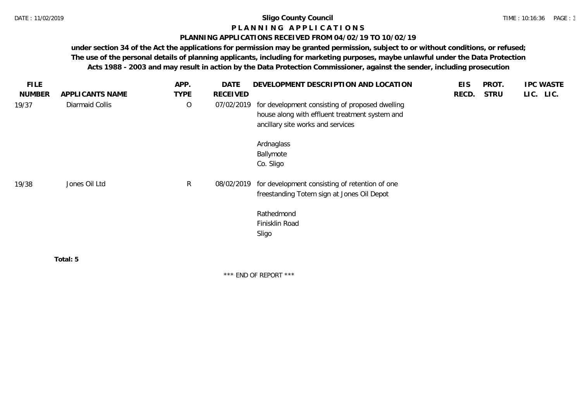## **P L A N N I N G A P P L I C A T I O N S**

## **PLANNING APPLICATIONS RECEIVED FROM 04/02/19 TO 10/02/19**

**under section 34 of the Act the applications for permission may be granted permission, subject to or without conditions, or refused; The use of the personal details of planning applicants, including for marketing purposes, maybe unlawful under the Data Protection Acts 1988 - 2003 and may result in action by the Data Protection Commissioner, against the sender, including prosecution**

| <b>FILE</b>   |                 | APP.         | <b>DATE</b> | DEVELOPMENT DESCRIPTION AND LOCATION                                                                                                   | <b>EIS</b> | PROT.       | <b>IPC WASTE</b> |
|---------------|-----------------|--------------|-------------|----------------------------------------------------------------------------------------------------------------------------------------|------------|-------------|------------------|
| <b>NUMBER</b> | APPLICANTS NAME | <b>TYPE</b>  | RECEIVED    |                                                                                                                                        | RECD.      | <b>STRU</b> | LIC. LIC.        |
| 19/37         | Diarmaid Collis | $\circ$      | 07/02/2019  | for development consisting of proposed dwelling<br>house along with effluent treatment system and<br>ancillary site works and services |            |             |                  |
|               |                 |              |             | Ardnaglass<br>Ballymote<br>Co. Sligo                                                                                                   |            |             |                  |
| 19/38         | Jones Oil Ltd   | $\mathsf{R}$ | 08/02/2019  | for development consisting of retention of one<br>freestanding Totem sign at Jones Oil Depot                                           |            |             |                  |
|               |                 |              |             | Rathedmond<br>Finisklin Road<br>Sligo                                                                                                  |            |             |                  |
|               | Total: 5        |              |             |                                                                                                                                        |            |             |                  |
|               |                 |              |             | *** END OF REPORT ***                                                                                                                  |            |             |                  |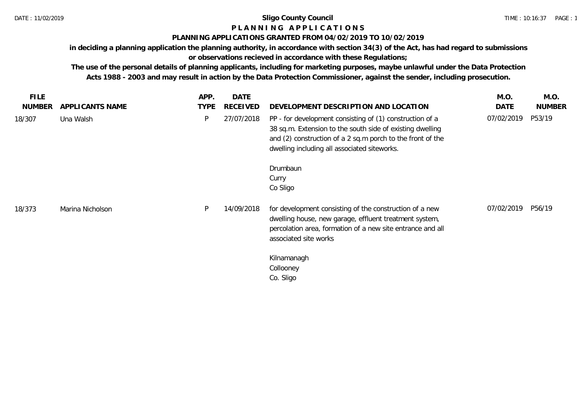# **P L A N N I N G A P P L I C A T I O N S**

## **PLANNING APPLICATIONS GRANTED FROM 04/02/2019 TO 10/02/2019**

**in deciding a planning application the planning authority, in accordance with section 34(3) of the Act, has had regard to submissions or observations recieved in accordance with these Regulations;**

**The use of the personal details of planning applicants, including for marketing purposes, maybe unlawful under the Data Protection Acts 1988 - 2003 and may result in action by the Data Protection Commissioner, against the sender, including prosecution.**

| <b>FILE</b><br><b>NUMBER</b> | APPLICANTS NAME  | APP.<br><b>TYPE</b> | <b>DATE</b><br>RECEIVED | DEVELOPMENT DESCRIPTION AND LOCATION                                                                                                                                                                                                | M.O.<br>DATE | M.O.<br><b>NUMBER</b> |
|------------------------------|------------------|---------------------|-------------------------|-------------------------------------------------------------------------------------------------------------------------------------------------------------------------------------------------------------------------------------|--------------|-----------------------|
| 18/307                       | Una Walsh        | P                   | 27/07/2018              | PP - for development consisting of (1) construction of a<br>38 sq.m. Extension to the south side of existing dwelling<br>and (2) construction of a 2 sq.m porch to the front of the<br>dwelling including all associated siteworks. | 07/02/2019   | P53/19                |
|                              |                  |                     |                         | Drumbaun<br>Curry<br>Co Sligo                                                                                                                                                                                                       |              |                       |
| 18/373                       | Marina Nicholson | P                   | 14/09/2018              | for development consisting of the construction of a new<br>dwelling house, new garage, effluent treatment system,<br>percolation area, formation of a new site entrance and all<br>associated site works                            | 07/02/2019   | P56/19                |
|                              |                  |                     |                         | Kilnamanagh<br>Collooney<br>Co. Sligo                                                                                                                                                                                               |              |                       |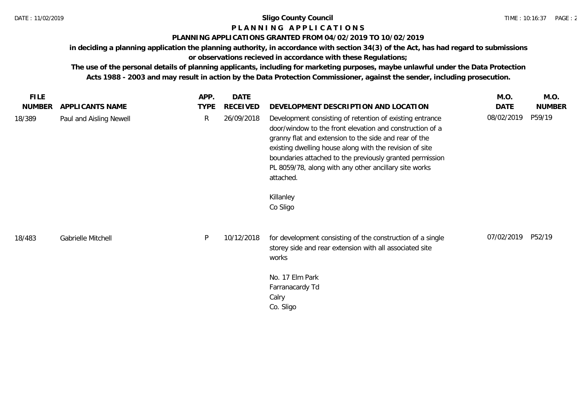# **P L A N N I N G A P P L I C A T I O N S**

## **PLANNING APPLICATIONS GRANTED FROM 04/02/2019 TO 10/02/2019**

**in deciding a planning application the planning authority, in accordance with section 34(3) of the Act, has had regard to submissions or observations recieved in accordance with these Regulations;**

**The use of the personal details of planning applicants, including for marketing purposes, maybe unlawful under the Data Protection Acts 1988 - 2003 and may result in action by the Data Protection Commissioner, against the sender, including prosecution.**

| <b>FILE</b>   |                         | APP.         | <b>DATE</b> |                                                                                                                                                                                                                                                                                                                                                                                                     | M.O.       | M.O.          |
|---------------|-------------------------|--------------|-------------|-----------------------------------------------------------------------------------------------------------------------------------------------------------------------------------------------------------------------------------------------------------------------------------------------------------------------------------------------------------------------------------------------------|------------|---------------|
| <b>NUMBER</b> | APPLICANTS NAME         | <b>TYPE</b>  | RECEIVED    | DEVELOPMENT DESCRIPTION AND LOCATION                                                                                                                                                                                                                                                                                                                                                                | DATE       | <b>NUMBER</b> |
| 18/389        | Paul and Aisling Newell | $\mathsf{R}$ | 26/09/2018  | Development consisting of retention of existing entrance<br>door/window to the front elevation and construction of a<br>granny flat and extension to the side and rear of the<br>existing dwelling house along with the revision of site<br>boundaries attached to the previously granted permission<br>PL 8059/78, along with any other ancillary site works<br>attached.<br>Killanley<br>Co Sligo | 08/02/2019 | P59/19        |
| 18/483        | Gabrielle Mitchell      | P            | 10/12/2018  | for development consisting of the construction of a single<br>storey side and rear extension with all associated site<br>works<br>No. 17 Elm Park<br>Farranacardy Td<br>Calry<br>Co. Sligo                                                                                                                                                                                                          | 07/02/2019 | P52/19        |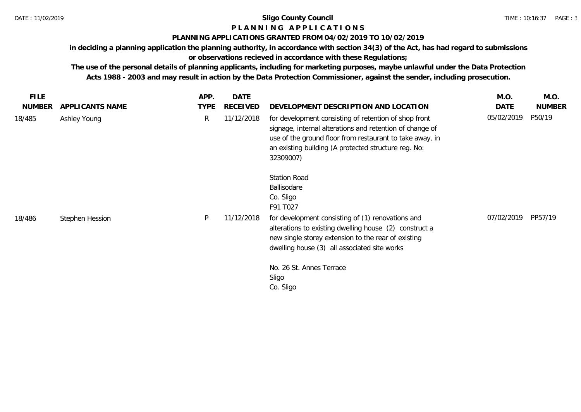## **P L A N N I N G A P P L I C A T I O N S**

## **PLANNING APPLICATIONS GRANTED FROM 04/02/2019 TO 10/02/2019**

**in deciding a planning application the planning authority, in accordance with section 34(3) of the Act, has had regard to submissions** 

**or observations recieved in accordance with these Regulations;**

**The use of the personal details of planning applicants, including for marketing purposes, maybe unlawful under the Data Protection Acts 1988 - 2003 and may result in action by the Data Protection Commissioner, against the sender, including prosecution.**

| <b>FILE</b>   |                 | APP.         | <b>DATE</b> |                                                                                                                                                                                                                                                    | M.O.       | M.O.          |
|---------------|-----------------|--------------|-------------|----------------------------------------------------------------------------------------------------------------------------------------------------------------------------------------------------------------------------------------------------|------------|---------------|
| <b>NUMBER</b> | APPLICANTS NAME | <b>TYPE</b>  | RECEIVED    | DEVELOPMENT DESCRIPTION AND LOCATION                                                                                                                                                                                                               | DATE       | <b>NUMBER</b> |
| 18/485        | Ashley Young    | $\mathsf{R}$ | 11/12/2018  | for development consisting of retention of shop front<br>signage, internal alterations and retention of change of<br>use of the ground floor from restaurant to take away, in<br>an existing building (A protected structure reg. No:<br>32309007) | 05/02/2019 | P50/19        |
|               |                 |              |             | <b>Station Road</b><br>Ballisodare<br>Co. Sligo<br>F91 T027                                                                                                                                                                                        |            |               |
| 18/486        | Stephen Hession | P            | 11/12/2018  | for development consisting of (1) renovations and<br>alterations to existing dwelling house (2) construct a<br>new single storey extension to the rear of existing<br>dwelling house (3) all associated site works                                 | 07/02/2019 | PP57/19       |
|               |                 |              |             | No. 26 St. Annes Terrace<br>Sligo<br>Co. Sligo                                                                                                                                                                                                     |            |               |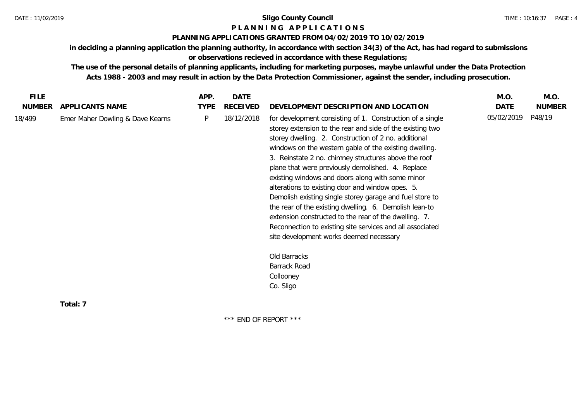## **P L A N N I N G A P P L I C A T I O N S**

## **PLANNING APPLICATIONS GRANTED FROM 04/02/2019 TO 10/02/2019**

**in deciding a planning application the planning authority, in accordance with section 34(3) of the Act, has had regard to submissions or observations recieved in accordance with these Regulations;**

**The use of the personal details of planning applicants, including for marketing purposes, maybe unlawful under the Data Protection Acts 1988 - 2003 and may result in action by the Data Protection Commissioner, against the sender, including prosecution.**

\*\*\* END OF REPORT \*\*\*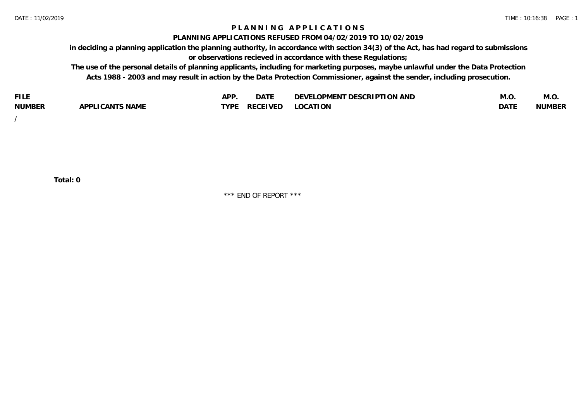## **P L A N N I N G A P P L I C A T I O N S**

#### **PLANNING APPLICATIONS REFUSED FROM 04/02/2019 TO 10/02/2019**

**in deciding a planning application the planning authority, in accordance with section 34(3) of the Act, has had regard to submissions or observations recieved in accordance with these Regulations;**

**The use of the personal details of planning applicants, including for marketing purposes, maybe unlawful under the Data Protection Acts 1988 - 2003 and may result in action by the Data Protection Commissioner, against the sender, including prosecution.**

| <b>FILE</b>   |                            | <b>ADD</b><br>¬ เ⊥ | $\Gamma$ $\Lambda$ $\Gamma$<br>DAI | OPMENT DESCRIPTION AND<br>$\sim$ $\sim$<br>)FVF' | IVI.U            | M.O           |
|---------------|----------------------------|--------------------|------------------------------------|--------------------------------------------------|------------------|---------------|
| <b>NUMBER</b> | <b>ICANTS NAME</b><br>APP' | <b>TYPF</b>        | <b>RECEIVED</b>                    | <b>LOCATION</b>                                  | DAT <sup>®</sup> | <b>NUMBEF</b> |

/

**Total: 0**

\*\*\* END OF REPORT \*\*\*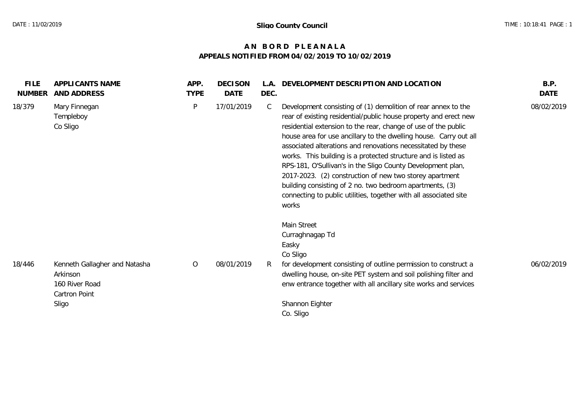## **A N B O R D P L E A N A L A APPEALS NOTIFIED FROM 04/02/2019 TO 10/02/2019**

| <b>FILE</b><br><b>NUMBER</b> | APPLICANTS NAME<br><b>AND ADDRESS</b>                                                 | APP.<br><b>TYPE</b> | <b>DECISON</b><br><b>DATE</b> | DEC. | L.A. DEVELOPMENT DESCRIPTION AND LOCATION                                                                                                                                                                                                                                                                                                                                                                                                                                                                                                                                                                                                                                      | B.P.<br>DATE |
|------------------------------|---------------------------------------------------------------------------------------|---------------------|-------------------------------|------|--------------------------------------------------------------------------------------------------------------------------------------------------------------------------------------------------------------------------------------------------------------------------------------------------------------------------------------------------------------------------------------------------------------------------------------------------------------------------------------------------------------------------------------------------------------------------------------------------------------------------------------------------------------------------------|--------------|
| 18/379                       | Mary Finnegan<br>Templeboy<br>Co Sligo                                                | P                   | 17/01/2019                    | C    | Development consisting of (1) demolition of rear annex to the<br>rear of existing residential/public house property and erect new<br>residential extension to the rear, change of use of the public<br>house area for use ancillary to the dwelling house. Carry out all<br>associated alterations and renovations necessitated by these<br>works. This building is a protected structure and is listed as<br>RPS-181, O'Sullivan's in the Sligo County Development plan,<br>2017-2023. (2) construction of new two storey apartment<br>building consisting of 2 no. two bedroom apartments, (3)<br>connecting to public utilities, together with all associated site<br>works | 08/02/2019   |
| 18/446                       | Kenneth Gallagher and Natasha<br>Arkinson<br>160 River Road<br>Cartron Point<br>Sligo | $\overline{O}$      | 08/01/2019                    |      | Main Street<br>Curraghnagap Td<br>Easky<br>Co Sligo<br>for development consisting of outline permission to construct a<br>dwelling house, on-site PET system and soil polishing filter and<br>enw entrance together with all ancillary site works and services<br>Shannon Eighter<br>Co. Sligo                                                                                                                                                                                                                                                                                                                                                                                 | 06/02/2019   |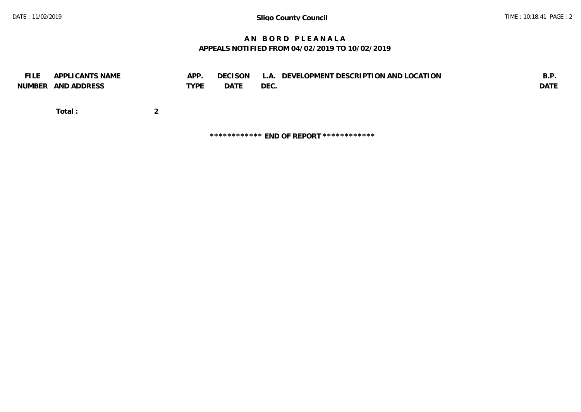## **A N B O R D P L E A N A L A APPEALS NOTIFIED FROM 04/02/2019 TO 10/02/2019**

| <b>FILE</b> | APPLICANTS NAME<br>NUMBER AND ADDRESS | APP.<br><b>TYPE</b> | <b>DECISON</b><br><b>DATE</b> | L.A. DEVELOPMENT DESCRIPTION AND LOCATION<br>DEC. | B.P.<br>DATE |
|-------------|---------------------------------------|---------------------|-------------------------------|---------------------------------------------------|--------------|
|             | Total:                                |                     |                               |                                                   |              |

**\*\*\*\*\*\*\*\*\*\*\*\* END OF REPORT \*\*\*\*\*\*\*\*\*\*\*\***